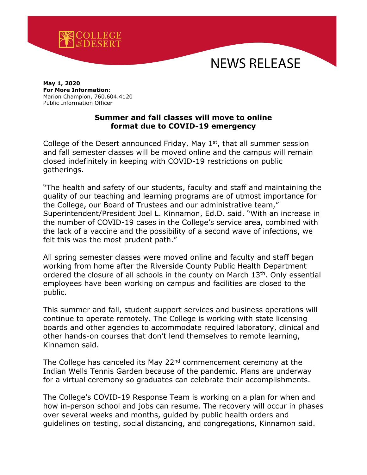

## NEWS RELEASE

## **May 1, 2020 For More Information**: Marion Champion, 760.604.4120 Public Information Officer

## **Summer and fall classes will move to online format due to COVID-19 emergency**

College of the Desert announced Friday, May  $1<sup>st</sup>$ , that all summer session and fall semester classes will be moved online and the campus will remain closed indefinitely in keeping with COVID-19 restrictions on public gatherings.

"The health and safety of our students, faculty and staff and maintaining the quality of our teaching and learning programs are of utmost importance for the College, our Board of Trustees and our administrative team," Superintendent/President Joel L. Kinnamon, Ed.D. said. "With an increase in the number of COVID-19 cases in the College's service area, combined with the lack of a vaccine and the possibility of a second wave of infections, we felt this was the most prudent path."

All spring semester classes were moved online and faculty and staff began working from home after the Riverside County Public Health Department ordered the closure of all schools in the county on March 13th. Only essential employees have been working on campus and facilities are closed to the public.

This summer and fall, student support services and business operations will continue to operate remotely. The College is working with state licensing boards and other agencies to accommodate required laboratory, clinical and other hands-on courses that don't lend themselves to remote learning, Kinnamon said.

The College has canceled its May  $22<sup>nd</sup>$  commencement ceremony at the Indian Wells Tennis Garden because of the pandemic. Plans are underway for a virtual ceremony so graduates can celebrate their accomplishments.

The College's COVID-19 Response Team is working on a plan for when and how in-person school and jobs can resume. The recovery will occur in phases over several weeks and months, guided by public health orders and guidelines on testing, social distancing, and congregations, Kinnamon said.